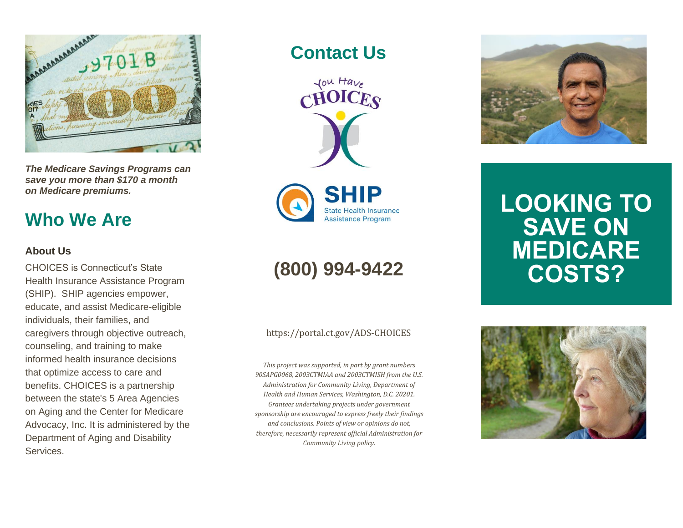

*The Medicare Savings Programs can save you more than \$170 a month on Medicare premiums.*

## **Who We Are**

### **About Us**

CHOICES is Connecticut's State Health Insurance Assistance Program (SHIP). SHIP agencies empower, educate, and assist Medicare-eligible individuals, their families, and caregivers through objective outreach, counseling, and training to make informed health insurance decisions that optimize access to care and benefits. CHOICES is a partnership between the state's 5 Area Agencies on Aging and the Center for Medicare Advocacy, Inc. It is administered by the Department of Aging and Disability Services.

**Contact Us**



**State Health Insurance Assistance Program** 

## **(800) 994-9422**

### <https://portal.ct.gov/ADS-CHOICES>

*This project was supported, in part by grant numbers 90SAPG0068, 2003CTMIAA and 2003CTMISH from the U.S. Administration for Community Living, Department of Health and Human Services, Washington, D.C. 20201. Grantees undertaking projects under government sponsorship are encouraged to express freely their findings and conclusions. Points of view or opinions do not, therefore, necessarily represent official Administration for Community Living policy.*



# **LOOKING TO SAVE ON MEDICARE COSTS?**